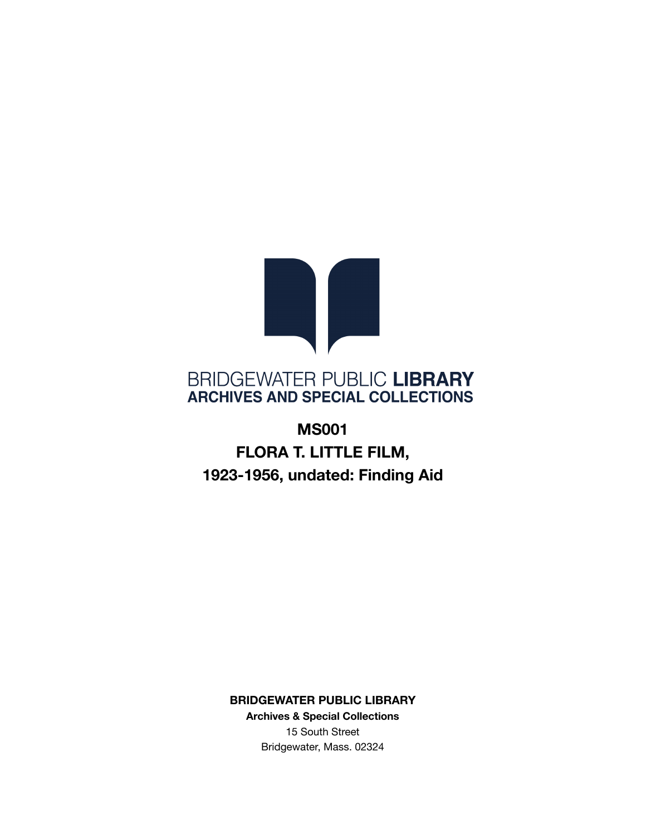

## BRIDGEWATER PUBLIC LIBRARY **ARCHIVES AND SPECIAL COLLECTIONS**

# **MS001 FLORA T. LITTLE FILM, 1923-1956, undated: Finding Aid**

**BRIDGEWATER PUBLIC LIBRARY**

**Archives & Special Collections** 15 South Street Bridgewater, Mass. 02324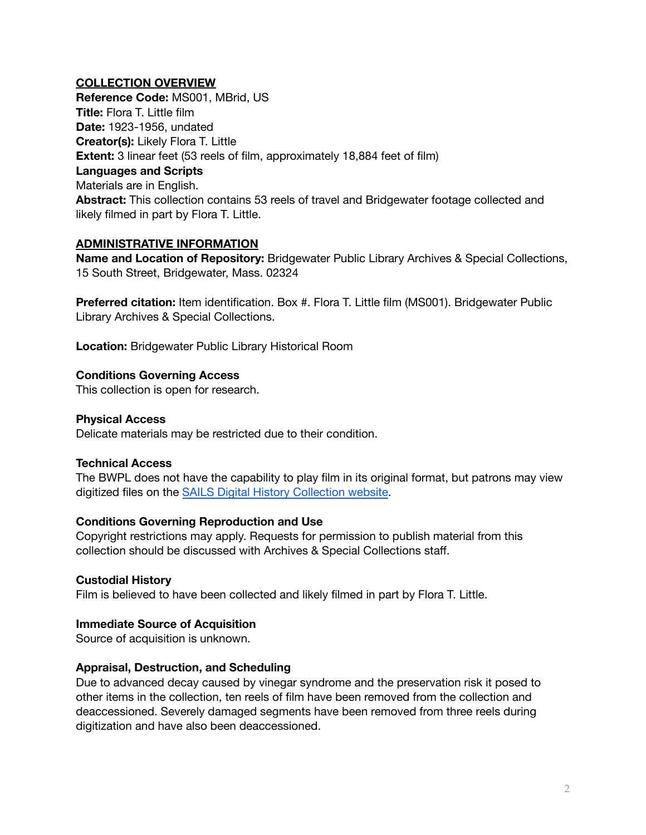## **COLLECTION OVERVIEW**

**Reference Code:** MS001, MBrid, US **Title:** Flora T. Little film **Date:** 1923-1956, undated **Creator(s):** Likely Flora T. Little **Extent:** 3 linear feet (53 reels of film, approximately 18,884 feet of film) **Languages and Scripts** Materials are in English. **Abstract:** This collection contains 53 reels of travel and Bridgewater footage collected and likely filmed in part by Flora T. Little.

## **ADMINISTRATIVE INFORMATION**

**Name and Location of Repository:** Bridgewater Public Library Archives & Special Collections, 15 South Street, Bridgewater, Mass. 02324

**Preferred citation:** Item identification. Box #. Flora T. Little film (MS001). Bridgewater Public Library Archives & Special Collections.

**Location:** Bridgewater Public Library Historical Room

## **Conditions Governing Access**

This collection is open for research.

## **Physical Access**

Delicate materials may be restricted due to their condition.

## **Technical Access**

The BWPL does not have the capability to play film in its original format, but patrons may view digitized files on the SAILS Digital History [Collection](https://sailsinc.omeka.net/collections/show/45) website.

## **Conditions Governing Reproduction and Use**

Copyright restrictions may apply. Requests for permission to publish material from this collection should be discussed with Archives & Special Collections staff.

## **Custodial History**

Film is believed to have been collected and likely filmed in part by Flora T. Little.

## **Immediate Source of Acquisition**

Source of acquisition is unknown.

## **Appraisal, Destruction, and Scheduling**

Due to advanced decay caused by vinegar syndrome and the preservation risk it posed to other items in the collection, ten reels of film have been removed from the collection and deaccessioned. Severely damaged segments have been removed from three reels during digitization and have also been deaccessioned.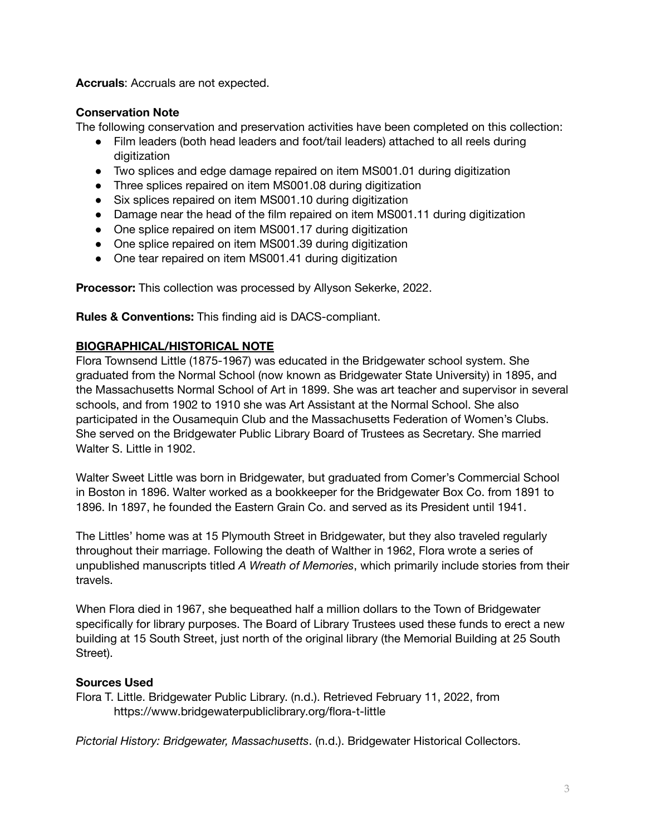**Accruals**: Accruals are not expected.

## **Conservation Note**

The following conservation and preservation activities have been completed on this collection:

- Film leaders (both head leaders and foot/tail leaders) attached to all reels during digitization
- Two splices and edge damage repaired on item MS001.01 during digitization
- Three splices repaired on item MS001.08 during digitization
- Six splices repaired on item MS001.10 during digitization
- Damage near the head of the film repaired on item MS001.11 during digitization
- One splice repaired on item MS001.17 during digitization
- One splice repaired on item MS001.39 during digitization
- One tear repaired on item MS001.41 during digitization

**Processor:** This collection was processed by Allyson Sekerke, 2022.

**Rules & Conventions:** This finding aid is DACS-compliant.

## **BIOGRAPHICAL/HISTORICAL NOTE**

Flora Townsend Little (1875-1967) was educated in the Bridgewater school system. She graduated from the Normal School (now known as Bridgewater State University) in 1895, and the Massachusetts Normal School of Art in 1899. She was art teacher and supervisor in several schools, and from 1902 to 1910 she was Art Assistant at the Normal School. She also participated in the Ousamequin Club and the Massachusetts Federation of Women's Clubs. She served on the Bridgewater Public Library Board of Trustees as Secretary. She married Walter S. Little in 1902.

Walter Sweet Little was born in Bridgewater, but graduated from Comer's Commercial School in Boston in 1896. Walter worked as a bookkeeper for the Bridgewater Box Co. from 1891 to 1896. In 1897, he founded the Eastern Grain Co. and served as its President until 1941.

The Littles' home was at 15 Plymouth Street in Bridgewater, but they also traveled regularly throughout their marriage. Following the death of Walther in 1962, Flora wrote a series of unpublished manuscripts titled *A Wreath of Memories*, which primarily include stories from their travels.

When Flora died in 1967, she bequeathed half a million dollars to the Town of Bridgewater specifically for library purposes. The Board of Library Trustees used these funds to erect a new building at 15 South Street, just north of the original library (the Memorial Building at 25 South Street).

## **Sources Used**

Flora T. Little. Bridgewater Public Library. (n.d.). Retrieved February 11, 2022, from https://www.bridgewaterpubliclibrary.org/flora-t-little

*Pictorial History: Bridgewater, Massachusetts*. (n.d.). Bridgewater Historical Collectors.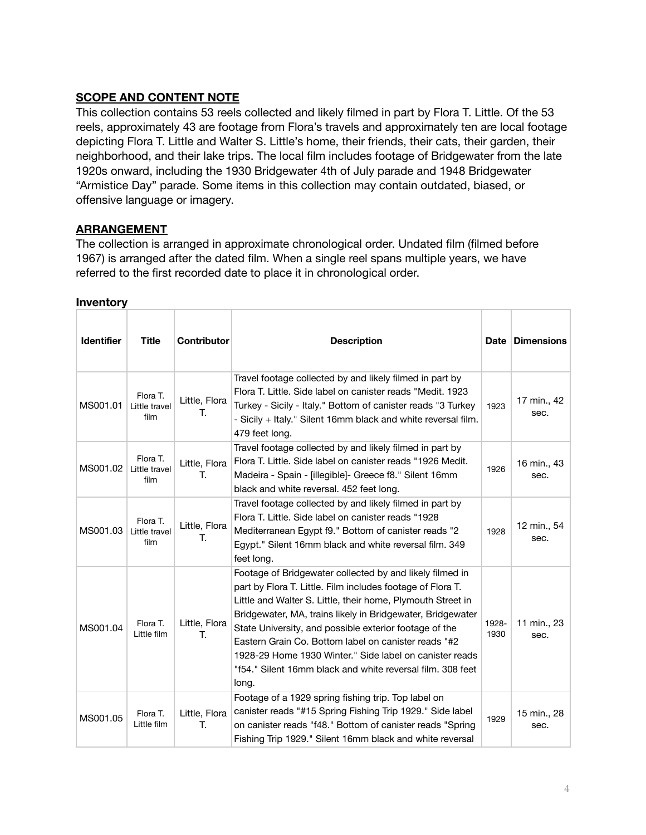## **SCOPE AND CONTENT NOTE**

This collection contains 53 reels collected and likely filmed in part by Flora T. Little. Of the 53 reels, approximately 43 are footage from Flora's travels and approximately ten are local footage depicting Flora T. Little and Walter S. Little's home, their friends, their cats, their garden, their neighborhood, and their lake trips. The local film includes footage of Bridgewater from the late 1920s onward, including the 1930 Bridgewater 4th of July parade and 1948 Bridgewater "Armistice Day" parade. Some items in this collection may contain outdated, biased, or offensive language or imagery.

## **ARRANGEMENT**

The collection is arranged in approximate chronological order. Undated film (filmed before 1967) is arranged after the dated film. When a single reel spans multiple years, we have referred to the first recorded date to place it in chronological order.

| <b>Identifier</b> | <b>Title</b>                      | <b>Contributor</b>  | <b>Description</b>                                                                                                                                                                                                                                                                                                                                                                                                                                                                                      | Date          | <b>Dimensions</b>   |
|-------------------|-----------------------------------|---------------------|---------------------------------------------------------------------------------------------------------------------------------------------------------------------------------------------------------------------------------------------------------------------------------------------------------------------------------------------------------------------------------------------------------------------------------------------------------------------------------------------------------|---------------|---------------------|
| MS001.01          | Flora T.<br>Little travel<br>film | Little, Flora<br>Т. | Travel footage collected by and likely filmed in part by<br>Flora T. Little, Side label on canister reads "Medit, 1923<br>Turkey - Sicily - Italy." Bottom of canister reads "3 Turkey<br>- Sicily + Italy." Silent 16mm black and white reversal film.<br>479 feet long.                                                                                                                                                                                                                               | 1923          | 17 min., 42<br>sec. |
| MS001.02          | Flora T.<br>Little travel<br>film | Little, Flora<br>T. | Travel footage collected by and likely filmed in part by<br>Flora T. Little, Side label on canister reads "1926 Medit.<br>Madeira - Spain - [illegible] - Greece f8." Silent 16mm<br>black and white reversal. 452 feet long.                                                                                                                                                                                                                                                                           | 1926          | 16 min., 43<br>sec. |
| MS001.03          | Flora T.<br>Little travel<br>film | Little, Flora<br>Т. | Travel footage collected by and likely filmed in part by<br>Flora T. Little. Side label on canister reads "1928<br>Mediterranean Egypt f9." Bottom of canister reads "2<br>Egypt." Silent 16mm black and white reversal film. 349<br>feet long.                                                                                                                                                                                                                                                         | 1928          | 12 min., 54<br>sec. |
| MS001.04          | Flora T.<br>Little film           | Little, Flora<br>Т. | Footage of Bridgewater collected by and likely filmed in<br>part by Flora T. Little. Film includes footage of Flora T.<br>Little and Walter S. Little, their home, Plymouth Street in<br>Bridgewater, MA, trains likely in Bridgewater, Bridgewater<br>State University, and possible exterior footage of the<br>Eastern Grain Co. Bottom label on canister reads "#2<br>1928-29 Home 1930 Winter." Side label on canister reads<br>"f54." Silent 16mm black and white reversal film, 308 feet<br>long. | 1928-<br>1930 | 11 min., 23<br>sec. |
| MS001.05          | Flora T.<br>Little film           | Little, Flora<br>T. | Footage of a 1929 spring fishing trip. Top label on<br>canister reads "#15 Spring Fishing Trip 1929." Side label<br>on canister reads "f48." Bottom of canister reads "Spring<br>Fishing Trip 1929." Silent 16mm black and white reversal                                                                                                                                                                                                                                                               | 1929          | 15 min., 28<br>sec. |

#### **Inventory**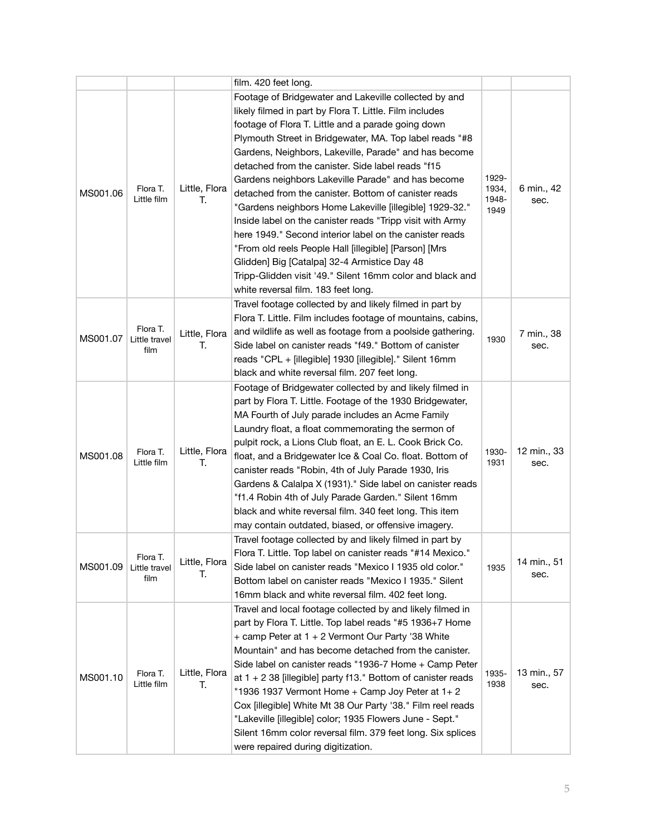|          |                                   |                     | film. 420 feet long.                                                                                                                                                                                                                                                                                                                                                                                                                                                                                                                                                                                                                                                                                                                                                                                                                                          |                                 |                     |
|----------|-----------------------------------|---------------------|---------------------------------------------------------------------------------------------------------------------------------------------------------------------------------------------------------------------------------------------------------------------------------------------------------------------------------------------------------------------------------------------------------------------------------------------------------------------------------------------------------------------------------------------------------------------------------------------------------------------------------------------------------------------------------------------------------------------------------------------------------------------------------------------------------------------------------------------------------------|---------------------------------|---------------------|
| MS001.06 | Flora T.<br>Little film           | Little, Flora<br>Т. | Footage of Bridgewater and Lakeville collected by and<br>likely filmed in part by Flora T. Little. Film includes<br>footage of Flora T. Little and a parade going down<br>Plymouth Street in Bridgewater, MA. Top label reads "#8<br>Gardens, Neighbors, Lakeville, Parade" and has become<br>detached from the canister. Side label reads "f15<br>Gardens neighbors Lakeville Parade" and has become<br>detached from the canister. Bottom of canister reads<br>"Gardens neighbors Home Lakeville [illegible] 1929-32."<br>Inside label on the canister reads "Tripp visit with Army<br>here 1949." Second interior label on the canister reads<br>"From old reels People Hall [illegible] [Parson] [Mrs<br>Glidden] Big [Catalpa] 32-4 Armistice Day 48<br>Tripp-Glidden visit '49." Silent 16mm color and black and<br>white reversal film. 183 feet long. | 1929-<br>1934,<br>1948-<br>1949 | 6 min., 42<br>sec.  |
| MS001.07 | Flora T.<br>Little travel<br>film | Little, Flora<br>T. | Travel footage collected by and likely filmed in part by<br>Flora T. Little. Film includes footage of mountains, cabins,<br>and wildlife as well as footage from a poolside gathering.<br>Side label on canister reads "f49." Bottom of canister<br>reads "CPL + [illegible] 1930 [illegible]." Silent 16mm<br>black and white reversal film. 207 feet long.                                                                                                                                                                                                                                                                                                                                                                                                                                                                                                  | 1930                            | 7 min., 38<br>sec.  |
| MS001.08 | Flora T.<br>Little film           | Little, Flora<br>Т. | Footage of Bridgewater collected by and likely filmed in<br>part by Flora T. Little. Footage of the 1930 Bridgewater,<br>MA Fourth of July parade includes an Acme Family<br>Laundry float, a float commemorating the sermon of<br>pulpit rock, a Lions Club float, an E. L. Cook Brick Co.<br>float, and a Bridgewater Ice & Coal Co. float. Bottom of<br>canister reads "Robin, 4th of July Parade 1930, Iris<br>Gardens & Calalpa X (1931)." Side label on canister reads<br>"f1.4 Robin 4th of July Parade Garden." Silent 16mm<br>black and white reversal film. 340 feet long. This item<br>may contain outdated, biased, or offensive imagery.                                                                                                                                                                                                         | 1930-<br>1931                   | 12 min., 33<br>sec. |
| MS001.09 | Flora T.<br>Little travel<br>film | Little, Flora<br>Т. | Travel footage collected by and likely filmed in part by<br>Flora T. Little. Top label on canister reads "#14 Mexico."<br>Side label on canister reads "Mexico I 1935 old color."<br>Bottom label on canister reads "Mexico I 1935." Silent<br>16mm black and white reversal film. 402 feet long.                                                                                                                                                                                                                                                                                                                                                                                                                                                                                                                                                             | 1935                            | 14 min., 51<br>sec. |
| MS001.10 | Flora T.<br>Little film           | Little, Flora<br>Т. | Travel and local footage collected by and likely filmed in<br>part by Flora T. Little. Top label reads "#5 1936+7 Home<br>+ camp Peter at 1 + 2 Vermont Our Party '38 White<br>Mountain" and has become detached from the canister.<br>Side label on canister reads "1936-7 Home + Camp Peter<br>at $1 + 2$ 38 [illegible] party f13." Bottom of canister reads<br>"1936 1937 Vermont Home + Camp Joy Peter at 1+2<br>Cox [illegible] White Mt 38 Our Party '38." Film reel reads<br>"Lakeville [illegible] color; 1935 Flowers June - Sept."<br>Silent 16mm color reversal film. 379 feet long. Six splices<br>were repaired during digitization.                                                                                                                                                                                                            | 1935-<br>1938                   | 13 min., 57<br>sec. |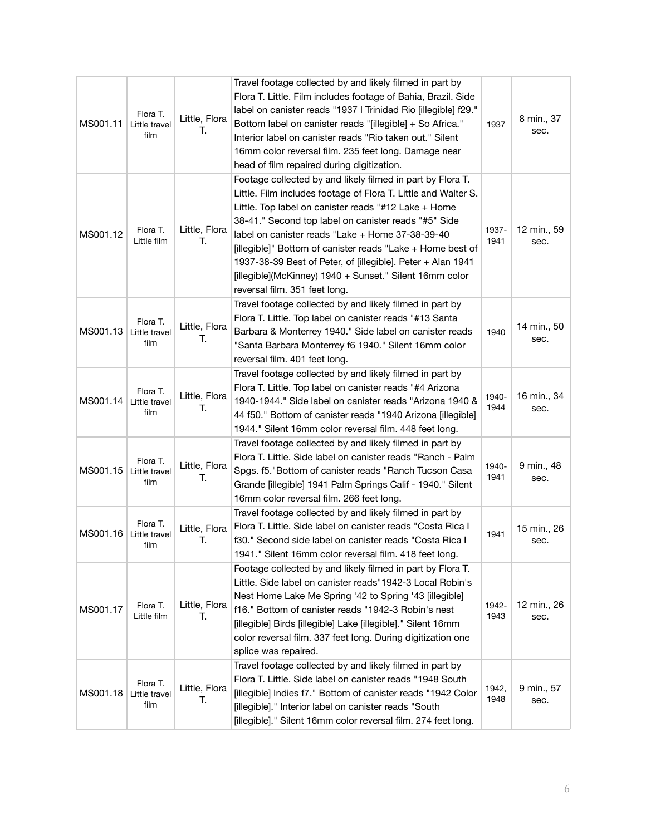| MS001.11 | Flora T.<br>Little travel<br>film | Little, Flora<br>Т. | Travel footage collected by and likely filmed in part by<br>Flora T. Little. Film includes footage of Bahia, Brazil. Side<br>label on canister reads "1937 I Trinidad Rio [illegible] f29."<br>Bottom label on canister reads "[illegible] + So Africa."<br>Interior label on canister reads "Rio taken out." Silent<br>16mm color reversal film. 235 feet long. Damage near<br>head of film repaired during digitization.                                                                                                | 1937          | 8 min., 37<br>sec.  |
|----------|-----------------------------------|---------------------|---------------------------------------------------------------------------------------------------------------------------------------------------------------------------------------------------------------------------------------------------------------------------------------------------------------------------------------------------------------------------------------------------------------------------------------------------------------------------------------------------------------------------|---------------|---------------------|
| MS001.12 | Flora T.<br>Little film           | Little, Flora<br>Т. | Footage collected by and likely filmed in part by Flora T.<br>Little. Film includes footage of Flora T. Little and Walter S.<br>Little. Top label on canister reads "#12 Lake + Home<br>38-41." Second top label on canister reads "#5" Side<br>label on canister reads "Lake + Home 37-38-39-40<br>[illegible]" Bottom of canister reads "Lake + Home best of<br>1937-38-39 Best of Peter, of [illegible]. Peter + Alan 1941<br>[illegible](McKinney) 1940 + Sunset." Silent 16mm color<br>reversal film. 351 feet long. | 1937-<br>1941 | 12 min., 59<br>sec. |
| MS001.13 | Flora T.<br>Little travel<br>film | Little, Flora<br>Т. | Travel footage collected by and likely filmed in part by<br>Flora T. Little. Top label on canister reads "#13 Santa<br>Barbara & Monterrey 1940." Side label on canister reads<br>"Santa Barbara Monterrey f6 1940." Silent 16mm color<br>reversal film. 401 feet long.                                                                                                                                                                                                                                                   | 1940          | 14 min., 50<br>sec. |
| MS001.14 | Flora T.<br>Little travel<br>film | Little, Flora<br>Т. | Travel footage collected by and likely filmed in part by<br>Flora T. Little. Top label on canister reads "#4 Arizona<br>1940-1944." Side label on canister reads "Arizona 1940 &<br>44 f50." Bottom of canister reads "1940 Arizona [illegible]<br>1944." Silent 16mm color reversal film. 448 feet long.                                                                                                                                                                                                                 | 1940-<br>1944 | 16 min., 34<br>sec. |
| MS001.15 | Flora T.<br>Little travel<br>film | Little, Flora<br>Т. | Travel footage collected by and likely filmed in part by<br>Flora T. Little. Side label on canister reads "Ranch - Palm<br>Spgs. f5. "Bottom of canister reads "Ranch Tucson Casa<br>Grande [illegible] 1941 Palm Springs Calif - 1940." Silent<br>16mm color reversal film. 266 feet long.                                                                                                                                                                                                                               | 1940-<br>1941 | 9 min., 48<br>sec.  |
| MS001.16 | Flora T.<br>Little travel<br>film | Little, Flora<br>T. | Travel footage collected by and likely filmed in part by<br>Flora T. Little. Side label on canister reads "Costa Rica I<br>f30." Second side label on canister reads "Costa Rica I<br>1941." Silent 16mm color reversal film. 418 feet long.                                                                                                                                                                                                                                                                              | 1941          | 15 min., 26<br>sec. |
| MS001.17 | Flora T.<br>Little film           | Little, Flora<br>Т. | Footage collected by and likely filmed in part by Flora T.<br>Little. Side label on canister reads"1942-3 Local Robin's<br>Nest Home Lake Me Spring '42 to Spring '43 [illegible]<br>f16." Bottom of canister reads "1942-3 Robin's nest<br>[illegible] Birds [illegible] Lake [illegible]." Silent 16mm<br>color reversal film. 337 feet long. During digitization one<br>splice was repaired.                                                                                                                           | 1942-<br>1943 | 12 min., 26<br>sec. |
| MS001.18 | Flora T.<br>Little travel<br>film | Little, Flora<br>Т. | Travel footage collected by and likely filmed in part by<br>Flora T. Little. Side label on canister reads "1948 South<br>[illegible] Indies f7." Bottom of canister reads "1942 Color<br>[illegible]." Interior label on canister reads "South<br>[illegible]." Silent 16mm color reversal film. 274 feet long.                                                                                                                                                                                                           | 1942,<br>1948 | 9 min., 57<br>sec.  |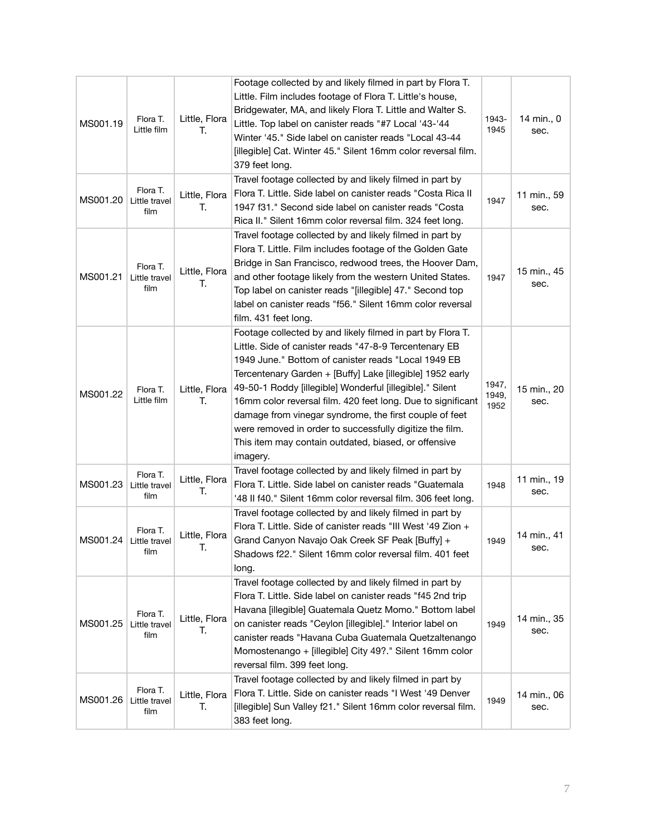| MS001.19 | Flora T.<br>Little film           | Little, Flora<br>Т. | Footage collected by and likely filmed in part by Flora T.<br>Little. Film includes footage of Flora T. Little's house,<br>Bridgewater, MA, and likely Flora T. Little and Walter S.<br>Little. Top label on canister reads "#7 Local '43-'44<br>Winter '45." Side label on canister reads "Local 43-44<br>[illegible] Cat. Winter 45." Silent 16mm color reversal film.<br>379 feet long.                                                                                                                                                                    | 1943-<br>1945          | 14 min., 0<br>sec.  |
|----------|-----------------------------------|---------------------|---------------------------------------------------------------------------------------------------------------------------------------------------------------------------------------------------------------------------------------------------------------------------------------------------------------------------------------------------------------------------------------------------------------------------------------------------------------------------------------------------------------------------------------------------------------|------------------------|---------------------|
| MS001.20 | Flora T.<br>Little travel<br>film | Little, Flora<br>Т. | Travel footage collected by and likely filmed in part by<br>Flora T. Little. Side label on canister reads "Costa Rica II<br>1947 f31." Second side label on canister reads "Costa<br>Rica II." Silent 16mm color reversal film. 324 feet long.                                                                                                                                                                                                                                                                                                                | 1947                   | 11 min., 59<br>sec. |
| MS001.21 | Flora T.<br>Little travel<br>film | Little, Flora<br>Т. | Travel footage collected by and likely filmed in part by<br>Flora T. Little. Film includes footage of the Golden Gate<br>Bridge in San Francisco, redwood trees, the Hoover Dam,<br>and other footage likely from the western United States.<br>Top label on canister reads "[illegible] 47." Second top<br>label on canister reads "f56." Silent 16mm color reversal<br>film. 431 feet long.                                                                                                                                                                 | 1947                   | 15 min., 45<br>sec. |
| MS001.22 | Flora T.<br>Little film           | Little, Flora<br>T. | Footage collected by and likely filmed in part by Flora T.<br>Little. Side of canister reads "47-8-9 Tercentenary EB<br>1949 June." Bottom of canister reads "Local 1949 EB<br>Tercentenary Garden + [Buffy] Lake [illegible] 1952 early<br>49-50-1 Roddy [illegible] Wonderful [illegible]." Silent<br>16mm color reversal film. 420 feet long. Due to significant<br>damage from vinegar syndrome, the first couple of feet<br>were removed in order to successfully digitize the film.<br>This item may contain outdated, biased, or offensive<br>imagery. | 1947,<br>1949,<br>1952 | 15 min., 20<br>sec. |
| MS001.23 | Flora T.<br>Little travel<br>film | Little, Flora<br>Т. | Travel footage collected by and likely filmed in part by<br>Flora T. Little. Side label on canister reads "Guatemala<br>'48 II f40." Silent 16mm color reversal film. 306 feet long.                                                                                                                                                                                                                                                                                                                                                                          | 1948                   | 11 min., 19<br>sec. |
| MS001.24 | Flora T.<br>Little travel<br>film | Little, Flora<br>T. | Travel footage collected by and likely filmed in part by<br>Flora T. Little. Side of canister reads "III West '49 Zion +<br>Grand Canyon Navajo Oak Creek SF Peak [Buffy] +<br>Shadows f22." Silent 16mm color reversal film. 401 feet<br>long.                                                                                                                                                                                                                                                                                                               | 1949                   | 14 min., 41<br>sec. |
| MS001.25 | Flora T.<br>Little travel<br>film | Little, Flora<br>Т. | Travel footage collected by and likely filmed in part by<br>Flora T. Little. Side label on canister reads "f45 2nd trip<br>Havana [illegible] Guatemala Quetz Momo." Bottom label<br>on canister reads "Ceylon [illegible]." Interior label on<br>canister reads "Havana Cuba Guatemala Quetzaltenango<br>Momostenango + [illegible] City 49?." Silent 16mm color<br>reversal film. 399 feet long.                                                                                                                                                            | 1949                   | 14 min., 35<br>sec. |
| MS001.26 | Flora T.<br>Little travel<br>film | Little, Flora<br>Т. | Travel footage collected by and likely filmed in part by<br>Flora T. Little. Side on canister reads "I West '49 Denver<br>[illegible] Sun Valley f21." Silent 16mm color reversal film.<br>383 feet long.                                                                                                                                                                                                                                                                                                                                                     | 1949                   | 14 min., 06<br>sec. |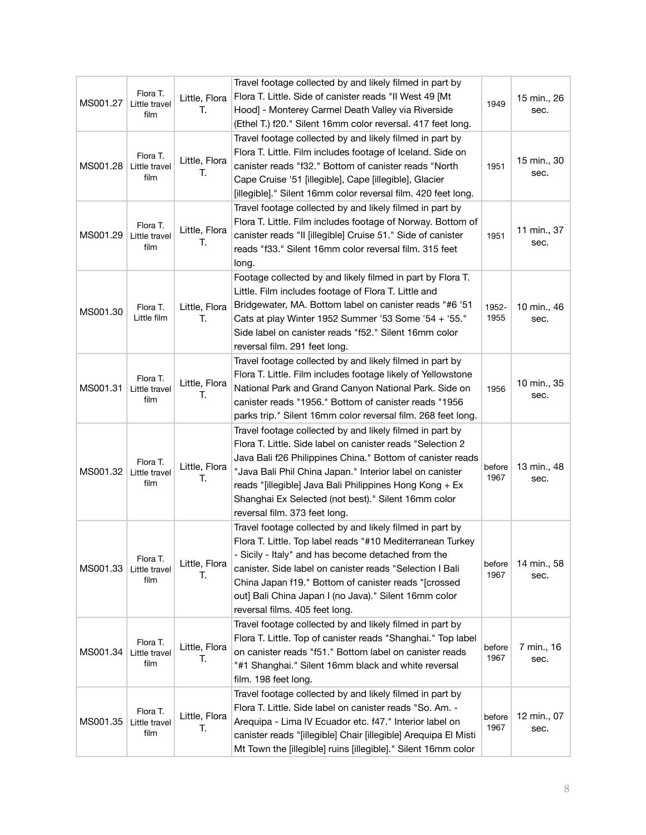| MS001.27 | Flora T.<br>Little travel<br>film | Little, Flora<br>Т. | Travel footage collected by and likely filmed in part by<br>Flora T. Little. Side of canister reads "Il West 49 [Mt<br>Hood] - Monterey Carmel Death Valley via Riverside<br>(Ethel T.) f20." Silent 16mm color reversal. 417 feet long.                                                                                                                                                            | 1949           | 15 min., 26<br>sec. |
|----------|-----------------------------------|---------------------|-----------------------------------------------------------------------------------------------------------------------------------------------------------------------------------------------------------------------------------------------------------------------------------------------------------------------------------------------------------------------------------------------------|----------------|---------------------|
| MS001.28 | Flora T.<br>Little travel<br>film | Little, Flora<br>Т. | Travel footage collected by and likely filmed in part by<br>Flora T. Little. Film includes footage of Iceland. Side on<br>canister reads "f32." Bottom of canister reads "North<br>Cape Cruise '51 [illegible], Cape [illegible], Glacier<br>[illegible]." Silent 16mm color reversal film. 420 feet long.                                                                                          | 1951           | 15 min., 30<br>sec. |
| MS001.29 | Flora T.<br>Little travel<br>film | Little, Flora<br>Т. | Travel footage collected by and likely filmed in part by<br>Flora T. Little. Film includes footage of Norway. Bottom of<br>canister reads "Il [illegible] Cruise 51." Side of canister<br>reads "f33." Silent 16mm color reversal film. 315 feet<br>long.                                                                                                                                           | 1951           | 11 min., 37<br>sec. |
| MS001.30 | Flora T.<br>Little film           | Little, Flora<br>T. | Footage collected by and likely filmed in part by Flora T.<br>Little. Film includes footage of Flora T. Little and<br>Bridgewater, MA. Bottom label on canister reads "#6 '51<br>Cats at play Winter 1952 Summer '53 Some '54 + '55."<br>Side label on canister reads "f52." Silent 16mm color<br>reversal film. 291 feet long.                                                                     | 1952-<br>1955  | 10 min., 46<br>sec. |
| MS001.31 | Flora T.<br>Little travel<br>film | Little, Flora<br>Т. | Travel footage collected by and likely filmed in part by<br>Flora T. Little. Film includes footage likely of Yellowstone<br>National Park and Grand Canyon National Park. Side on<br>canister reads "1956." Bottom of canister reads "1956<br>parks trip." Silent 16mm color reversal film. 268 feet long.                                                                                          | 1956           | 10 min., 35<br>sec. |
| MS001.32 | Flora T.<br>Little travel<br>film | Little, Flora<br>Т. | Travel footage collected by and likely filmed in part by<br>Flora T. Little. Side label on canister reads "Selection 2<br>Java Bali f26 Philippines China." Bottom of canister reads<br>"Java Bali Phil China Japan." Interior label on canister<br>reads "[illegible] Java Bali Philippines Hong Kong + Ex<br>Shanghai Ex Selected (not best)." Silent 16mm color<br>reversal film. 373 feet long. | before<br>1967 | 13 min., 48<br>sec. |
| MS001.33 | Flora T.<br>Little travel<br>film | Little, Flora<br>Т. | Travel footage collected by and likely filmed in part by<br>Flora T. Little. Top label reads "#10 Mediterranean Turkey<br>- Sicily - Italy" and has become detached from the<br>canister. Side label on canister reads "Selection I Bali<br>China Japan f19." Bottom of canister reads "[crossed<br>out] Bali China Japan I (no Java)." Silent 16mm color<br>reversal films. 405 feet long.         | before<br>1967 | 14 min., 58<br>sec. |
| MS001.34 | Flora T.<br>Little travel<br>film | Little, Flora<br>Т. | Travel footage collected by and likely filmed in part by<br>Flora T. Little. Top of canister reads "Shanghai." Top label<br>on canister reads "f51." Bottom label on canister reads<br>"#1 Shanghai." Silent 16mm black and white reversal<br>film. 198 feet long.                                                                                                                                  | before<br>1967 | 7 min., 16<br>sec.  |
| MS001.35 | Flora T.<br>Little travel<br>film | Little, Flora<br>Т. | Travel footage collected by and likely filmed in part by<br>Flora T. Little. Side label on canister reads "So. Am. -<br>Arequipa - Lima IV Ecuador etc. f47." Interior label on<br>canister reads "[illegible] Chair [illegible] Arequipa El Misti<br>Mt Town the [illegible] ruins [illegible]." Silent 16mm color                                                                                 | before<br>1967 | 12 min., 07<br>sec. |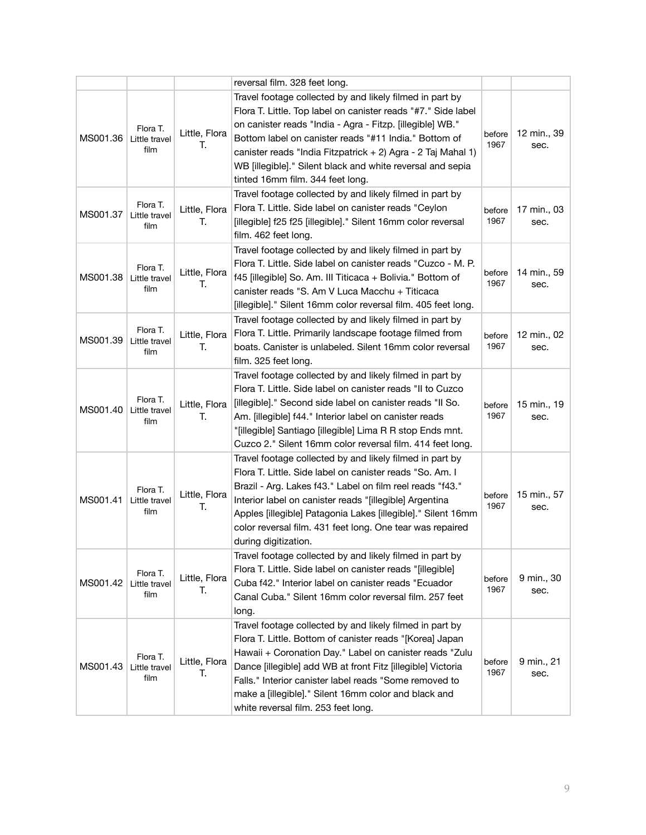|          |                                   |                     | reversal film. 328 feet long.                                                                                                                                                                                                                                                                                                                                                                                     |                |                     |
|----------|-----------------------------------|---------------------|-------------------------------------------------------------------------------------------------------------------------------------------------------------------------------------------------------------------------------------------------------------------------------------------------------------------------------------------------------------------------------------------------------------------|----------------|---------------------|
| MS001.36 | Flora T.<br>Little travel<br>film | Little, Flora<br>Т. | Travel footage collected by and likely filmed in part by<br>Flora T. Little. Top label on canister reads "#7." Side label<br>on canister reads "India - Agra - Fitzp. [illegible] WB."<br>Bottom label on canister reads "#11 India." Bottom of<br>canister reads "India Fitzpatrick + 2) Agra - 2 Taj Mahal 1)<br>WB [illegible]." Silent black and white reversal and sepia<br>tinted 16mm film. 344 feet long. | before<br>1967 | 12 min., 39<br>sec. |
| MS001.37 | Flora T.<br>Little travel<br>film | Little, Flora<br>Т. | Travel footage collected by and likely filmed in part by<br>Flora T. Little. Side label on canister reads "Ceylon<br>[illegible] f25 f25 [illegible]." Silent 16mm color reversal<br>film. 462 feet long.                                                                                                                                                                                                         | before<br>1967 | 17 min., 03<br>sec. |
| MS001.38 | Flora T.<br>Little travel<br>film | Little, Flora<br>Т. | Travel footage collected by and likely filmed in part by<br>Flora T. Little. Side label on canister reads "Cuzco - M. P.<br>f45 [illegible] So. Am. III Titicaca + Bolivia." Bottom of<br>canister reads "S. Am V Luca Macchu + Titicaca<br>[illegible]." Silent 16mm color reversal film. 405 feet long.                                                                                                         | before<br>1967 | 14 min., 59<br>sec. |
| MS001.39 | Flora T.<br>Little travel<br>film | Little, Flora<br>T. | Travel footage collected by and likely filmed in part by<br>Flora T. Little. Primarily landscape footage filmed from<br>boats. Canister is unlabeled. Silent 16mm color reversal<br>film. 325 feet long.                                                                                                                                                                                                          | before<br>1967 | 12 min., 02<br>sec. |
| MS001.40 | Flora T.<br>Little travel<br>film | Little, Flora<br>T. | Travel footage collected by and likely filmed in part by<br>Flora T. Little. Side label on canister reads "II to Cuzco<br>[illegible]." Second side label on canister reads "Il So.<br>Am. [illegible] f44." Interior label on canister reads<br>"[illegible] Santiago [illegible] Lima R R stop Ends mnt.<br>Cuzco 2." Silent 16mm color reversal film. 414 feet long.                                           | before<br>1967 | 15 min., 19<br>sec. |
| MS001.41 | Flora T.<br>Little travel<br>film | Little, Flora<br>Т. | Travel footage collected by and likely filmed in part by<br>Flora T. Little. Side label on canister reads "So. Am. I<br>Brazil - Arg. Lakes f43." Label on film reel reads "f43."<br>Interior label on canister reads "[illegible] Argentina<br>Apples [illegible] Patagonia Lakes [illegible]." Silent 16mm<br>color reversal film. 431 feet long. One tear was repaired<br>during digitization.                 | before<br>1967 | 15 min., 57<br>sec. |
| MS001.42 | Flora T.<br>Little travel<br>film | Little, Flora<br>Т. | Travel footage collected by and likely filmed in part by<br>Flora T. Little. Side label on canister reads "[illegible]<br>Cuba f42." Interior label on canister reads "Ecuador<br>Canal Cuba." Silent 16mm color reversal film. 257 feet<br>long.                                                                                                                                                                 | before<br>1967 | 9 min., 30<br>sec.  |
| MS001.43 | Flora T.<br>Little travel<br>film | Little, Flora<br>Т. | Travel footage collected by and likely filmed in part by<br>Flora T. Little. Bottom of canister reads "[Korea] Japan<br>Hawaii + Coronation Day." Label on canister reads "Zulu<br>Dance [illegible] add WB at front Fitz [illegible] Victoria<br>Falls." Interior canister label reads "Some removed to<br>make a [illegible]." Silent 16mm color and black and<br>white reversal film. 253 feet long.           | before<br>1967 | 9 min., 21<br>sec.  |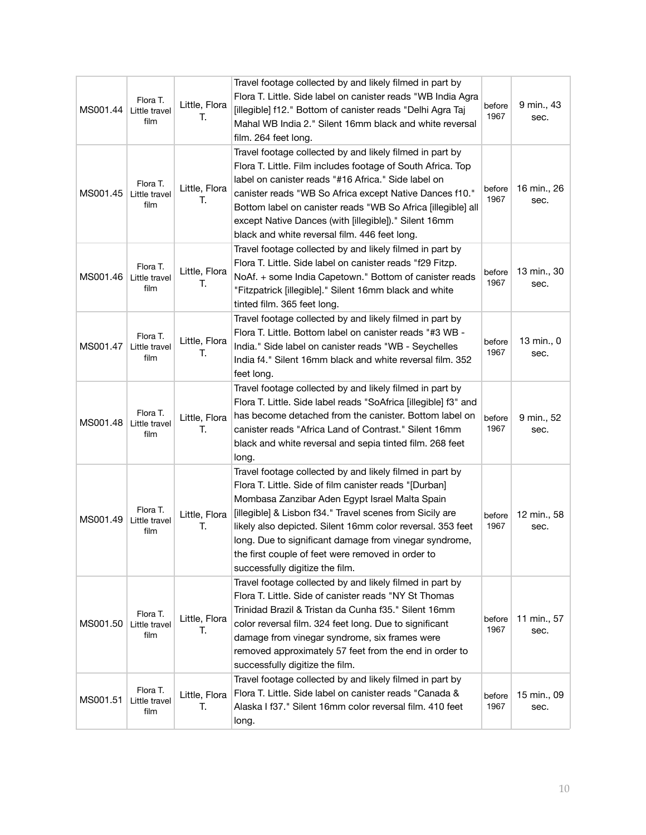| MS001.44 | Flora T.<br>Little travel<br>film | Little, Flora<br>Т. | Travel footage collected by and likely filmed in part by<br>Flora T. Little. Side label on canister reads "WB India Agra<br>[illegible] f12." Bottom of canister reads "Delhi Agra Taj<br>Mahal WB India 2." Silent 16mm black and white reversal<br>film. 264 feet long.                                                                                                                                                                        | before<br>1967 | 9 min., 43<br>sec.  |
|----------|-----------------------------------|---------------------|--------------------------------------------------------------------------------------------------------------------------------------------------------------------------------------------------------------------------------------------------------------------------------------------------------------------------------------------------------------------------------------------------------------------------------------------------|----------------|---------------------|
| MS001.45 | Flora T.<br>Little travel<br>film | Little, Flora<br>Т. | Travel footage collected by and likely filmed in part by<br>Flora T. Little. Film includes footage of South Africa. Top<br>label on canister reads "#16 Africa." Side label on<br>canister reads "WB So Africa except Native Dances f10."<br>Bottom label on canister reads "WB So Africa [illegible] all<br>except Native Dances (with [illegible])." Silent 16mm<br>black and white reversal film. 446 feet long.                              | before<br>1967 | 16 min., 26<br>sec. |
| MS001.46 | Flora T.<br>Little travel<br>film | Little, Flora<br>Т. | Travel footage collected by and likely filmed in part by<br>Flora T. Little. Side label on canister reads "f29 Fitzp.<br>NoAf. + some India Capetown." Bottom of canister reads<br>"Fitzpatrick [illegible]." Silent 16mm black and white<br>tinted film. 365 feet long.                                                                                                                                                                         | before<br>1967 | 13 min., 30<br>sec. |
| MS001.47 | Flora T.<br>Little travel<br>film | Little, Flora<br>Т. | Travel footage collected by and likely filmed in part by<br>Flora T. Little. Bottom label on canister reads "#3 WB -<br>India." Side label on canister reads "WB - Seychelles<br>India f4." Silent 16mm black and white reversal film. 352<br>feet long.                                                                                                                                                                                         | before<br>1967 | 13 min., 0<br>sec.  |
| MS001.48 | Flora T.<br>Little travel<br>film | Little, Flora<br>T. | Travel footage collected by and likely filmed in part by<br>Flora T. Little. Side label reads "SoAfrica [illegible] f3" and<br>has become detached from the canister. Bottom label on<br>canister reads "Africa Land of Contrast." Silent 16mm<br>black and white reversal and sepia tinted film. 268 feet<br>long.                                                                                                                              | before<br>1967 | 9 min., 52<br>sec.  |
| MS001.49 | Flora T.<br>Little travel<br>film | Little, Flora<br>Т. | Travel footage collected by and likely filmed in part by<br>Flora T. Little. Side of film canister reads "[Durban]<br>Mombasa Zanzibar Aden Egypt Israel Malta Spain<br>[illegible] & Lisbon f34." Travel scenes from Sicily are<br>likely also depicted. Silent 16mm color reversal. 353 feet<br>long. Due to significant damage from vinegar syndrome,<br>the first couple of feet were removed in order to<br>successfully digitize the film. | before<br>1967 | 12 min., 58<br>sec. |
| MS001.50 | Flora T.<br>Little travel<br>film | Little, Flora<br>Т. | Travel footage collected by and likely filmed in part by<br>Flora T. Little. Side of canister reads "NY St Thomas<br>Trinidad Brazil & Tristan da Cunha f35." Silent 16mm<br>color reversal film. 324 feet long. Due to significant<br>damage from vinegar syndrome, six frames were<br>removed approximately 57 feet from the end in order to<br>successfully digitize the film.                                                                | before<br>1967 | 11 min., 57<br>sec. |
| MS001.51 | Flora T.<br>Little travel<br>film | Little, Flora<br>Т. | Travel footage collected by and likely filmed in part by<br>Flora T. Little. Side label on canister reads "Canada &<br>Alaska I f37." Silent 16mm color reversal film. 410 feet<br>long.                                                                                                                                                                                                                                                         | before<br>1967 | 15 min., 09<br>sec. |